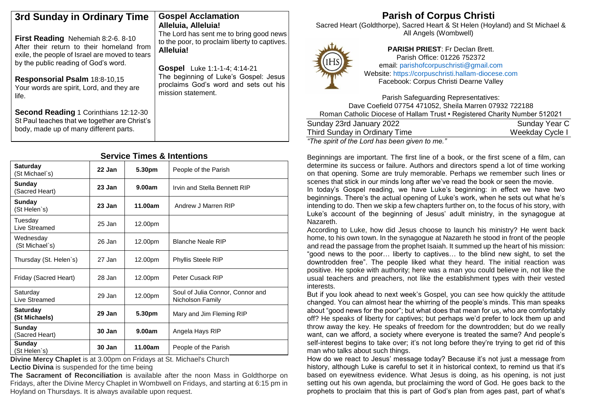| 3rd Sunday in Ordinary Time                                                                                                                                                                                                                             | <b>Gospel Acclamation</b><br>Alleluia, Alleluia!                                                                                                                                                                                              | <b>Parish of Corpus Christi</b><br>Sacred Heart (Goldthorpe), Sacred Heart & St Helen (Hoyland) and St Michael &                                                                                                                                                             |  |  |
|---------------------------------------------------------------------------------------------------------------------------------------------------------------------------------------------------------------------------------------------------------|-----------------------------------------------------------------------------------------------------------------------------------------------------------------------------------------------------------------------------------------------|------------------------------------------------------------------------------------------------------------------------------------------------------------------------------------------------------------------------------------------------------------------------------|--|--|
| First Reading Nehemiah 8:2-6. 8-10<br>After their return to their homeland from<br>exile, the people of Israel are moved to tears<br>by the public reading of God's word.<br>Responsorial Psalm 18:8-10,15<br>Your words are spirit, Lord, and they are | The Lord has sent me to bring good news<br>to the poor, to proclaim liberty to captives.<br>Alleluia!<br>Gospel Luke 1:1-1-4; 4:14-21<br>The beginning of Luke's Gospel: Jesus<br>proclaims God's word and sets out his<br>mission statement. | All Angels (Wombwell)<br><b>PARISH PRIEST: Fr Declan Brett.</b><br>Parish Office: 01226 752372<br>f(Hs)<br>email: parishofcorpuschristi@gmail.com<br>THEFT<br>Website: https://corpuschristi.hallam-diocese.com<br>Facebook: Corpus Christi Dearne Valley                    |  |  |
| life.<br><b>Second Reading 1 Corinthians 12:12-30</b><br>St Paul teaches that we together are Christ's<br>body, made up of many different parts.                                                                                                        |                                                                                                                                                                                                                                               | Parish Safeguarding Representatives:<br>Dave Coefield 07754 471052, Sheila Marren 07932 722188<br>Roman Catholic Diocese of Hallam Trust . Registered Charity Number 512021<br>Sunday 23rd January 2022<br>Sunday Year C<br>Third Sunday in Ordinary Time<br>Weekday Cycle I |  |  |

*"The spirit of the Lord has been given to me."*

Beginnings are important. The first line of a book, or the first scene of a film, can determine its success or failure. Authors and directors spend a lot of time working on that opening. Some are truly memorable. Perhaps we remember such lines or scenes that stick in our minds long after we've read the book or seen the movie.

In today's Gospel reading, we have Luke's beginning: in effect we have two beginnings. There's the actual opening of Luke's work, when he sets out what he's intending to do. Then we skip a few chapters further on, to the focus of his story, with Luke's account of the beginning of Jesus' adult ministry, in the synagogue at Nazareth.

According to Luke, how did Jesus choose to launch his ministry? He went back home, to his own town. In the synagogue at Nazareth he stood in front of the people and read the passage from the prophet Isaiah. It summed up the heart of his mission: "good news to the poor… liberty to captives… to the blind new sight, to set the downtrodden free". The people liked what they heard. The initial reaction was positive. He spoke with authority; here was a man you could believe in, not like the usual teachers and preachers, not like the establishment types with their vested interests.

But if you look ahead to next week's Gospel, you can see how quickly the attitude changed. You can almost hear the whirring of the people's minds. This man speaks about "good news for the poor"; but what does that mean for us, who are comfortably off? He speaks of liberty for captives; but perhaps we'd prefer to lock them up and throw away the key. He speaks of freedom for the downtrodden; but do we really want, can we afford, a society where everyone is treated the same? And people's self-interest begins to take over; it's not long before they're trying to get rid of this man who talks about such things.

How do we react to Jesus' message today? Because it's not just a message from history, although Luke is careful to set it in historical context, to remind us that it's based on eyewitness evidence. What Jesus is doing, as his opening, is not just setting out his own agenda, but proclaiming the word of God. He goes back to the prophets to proclaim that this is part of God's plan from ages past, part of what's

# **Service Times & Intentions**

| <b>Saturday</b><br>(St Michael`s) | 22 Jan | 5.30pm  | People of the Parish                                 |
|-----------------------------------|--------|---------|------------------------------------------------------|
| Sunday<br>(Sacred Heart)          | 23 Jan | 9.00am  | Irvin and Stella Bennett RIP                         |
| <b>Sunday</b><br>(St Helen`s)     | 23 Jan | 11.00am | Andrew J Marren RIP                                  |
| Tuesday<br>Live Streamed          | 25 Jan | 12.00pm |                                                      |
| Wednesday<br>(St Michael`s)       | 26 Jan | 12.00pm | <b>Blanche Neale RIP</b>                             |
| Thursday (St. Helen's)            | 27 Jan | 12.00pm | <b>Phyllis Steele RIP</b>                            |
| Friday (Sacred Heart)             | 28 Jan | 12.00pm | Peter Cusack RIP                                     |
| Saturday<br>Live Streamed         | 29 Jan | 12.00pm | Soul of Julia Connor, Connor and<br>Nicholson Family |
| <b>Saturday</b><br>(St Michaels)  | 29 Jan | 5.30pm  | Mary and Jim Fleming RIP                             |
| Sunday<br>(Sacred Heart)          | 30 Jan | 9.00am  | Angela Hays RIP                                      |
| Sunday<br>(St Helen`s)            | 30 Jan | 11.00am | People of the Parish                                 |

**Divine Mercy Chaplet** is at 3.00pm on Fridays at St. Michael's Church **Lectio Divina** is suspended for the time being

**The Sacrament of Reconciliation** is available after the noon Mass in Goldthorpe on Fridays, after the Divine Mercy Chaplet in Wombwell on Fridays, and starting at 6:15 pm in Hoyland on Thursdays. It is always available upon request.